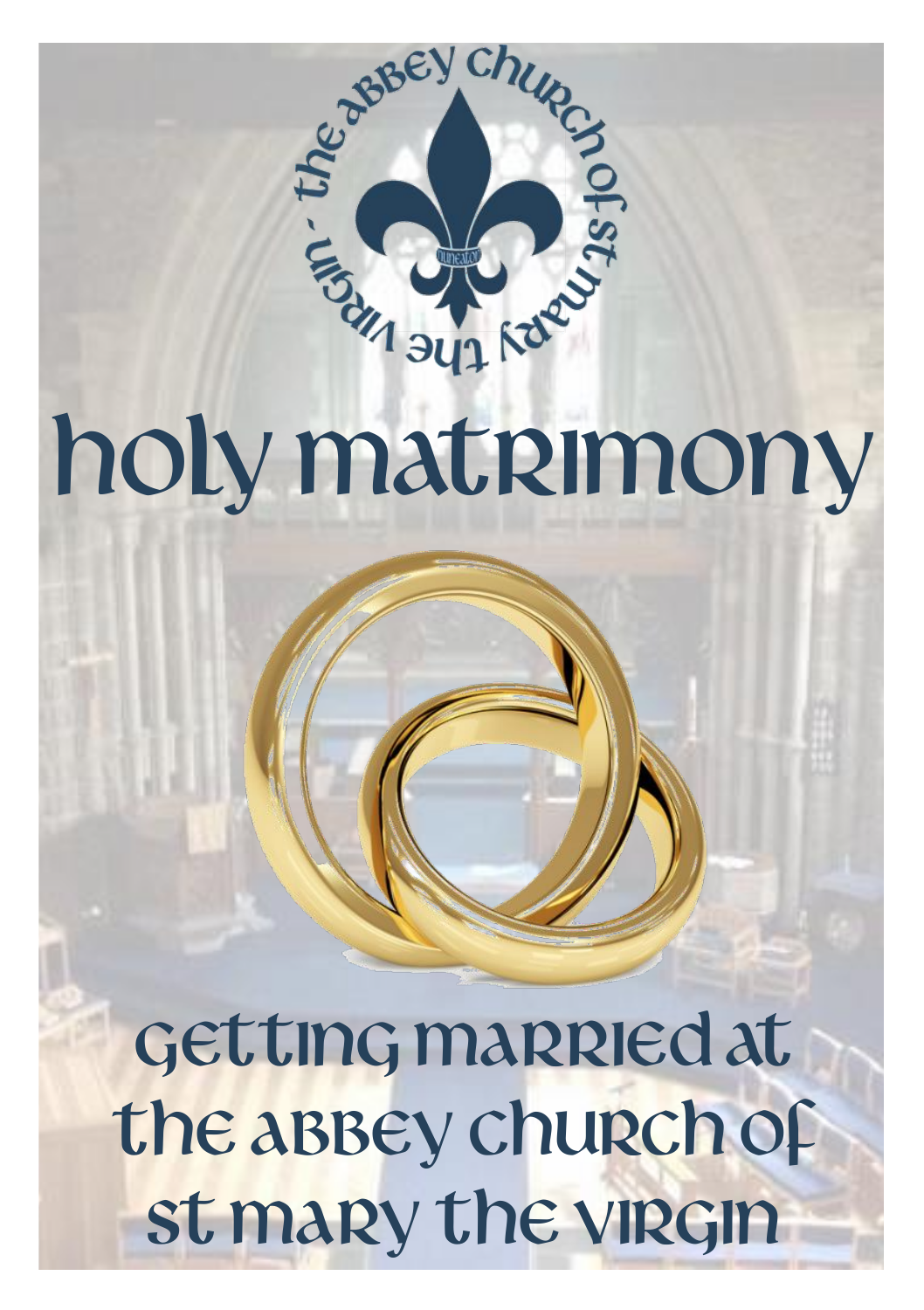

# holy matrimony

Getting Married at the Abbey Church of st mary the virgin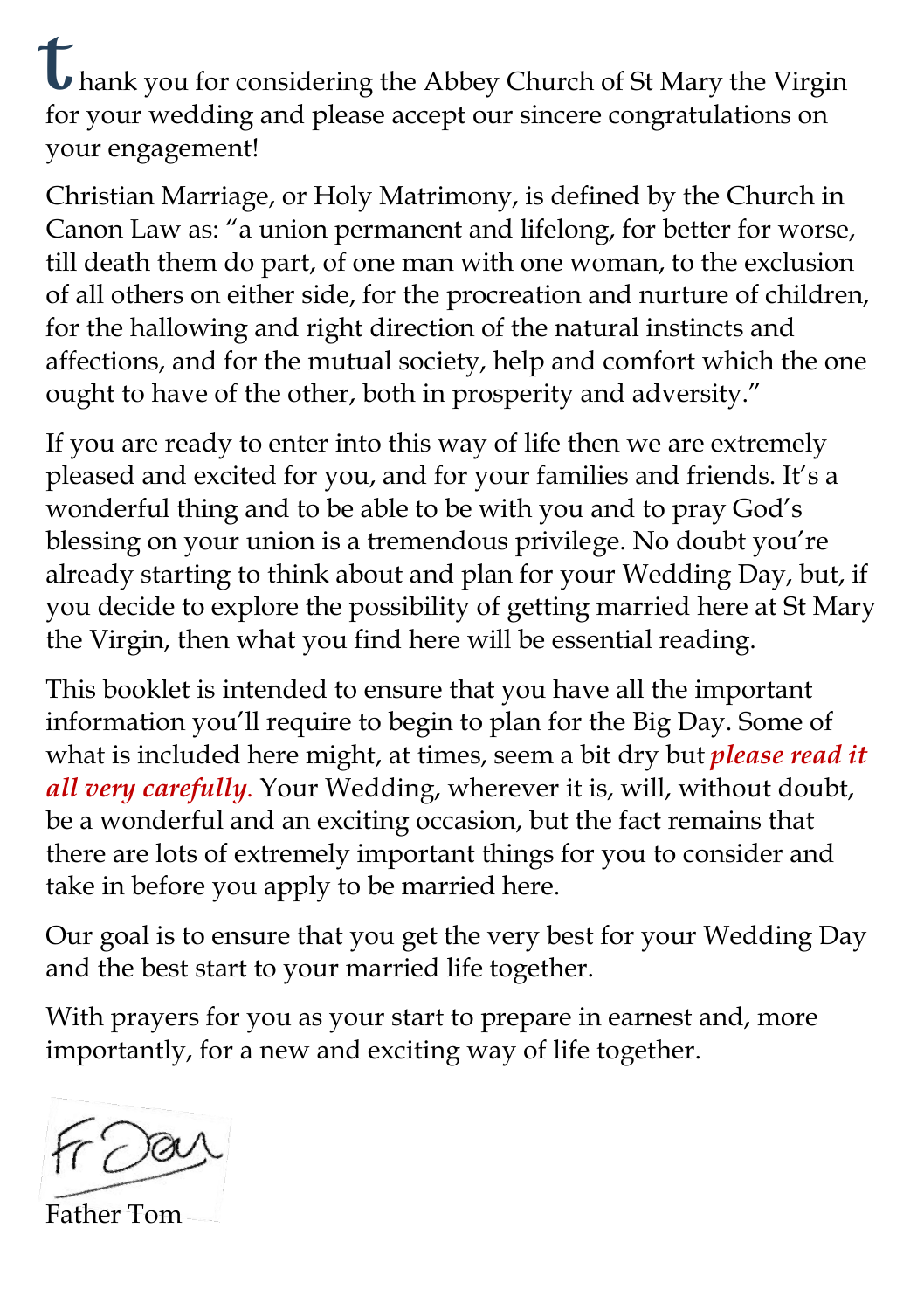**thank** you for considering the Abbey Church of St Mary the Virgin for your wedding and please accept our sincere congratulations on your engagement!

Christian Marriage, or Holy Matrimony, is defined by the Church in Canon Law as: "a union permanent and lifelong, for better for worse, till death them do part, of one man with one woman, to the exclusion of all others on either side, for the procreation and nurture of children, for the hallowing and right direction of the natural instincts and affections, and for the mutual society, help and comfort which the one ought to have of the other, both in prosperity and adversity."

If you are ready to enter into this way of life then we are extremely pleased and excited for you, and for your families and friends. It's a wonderful thing and to be able to be with you and to pray God's blessing on your union is a tremendous privilege. No doubt you're already starting to think about and plan for your Wedding Day, but, if you decide to explore the possibility of getting married here at St Mary the Virgin, then what you find here will be essential reading.

This booklet is intended to ensure that you have all the important information you'll require to begin to plan for the Big Day. Some of what is included here might, at times, seem a bit dry but *please read it all very carefully*. Your Wedding, wherever it is, will, without doubt, be a wonderful and an exciting occasion, but the fact remains that there are lots of extremely important things for you to consider and take in before you apply to be married here.

Our goal is to ensure that you get the very best for your Wedding Day and the best start to your married life together.

With prayers for you as your start to prepare in earnest and, more importantly, for a new and exciting way of life together.

Father Tom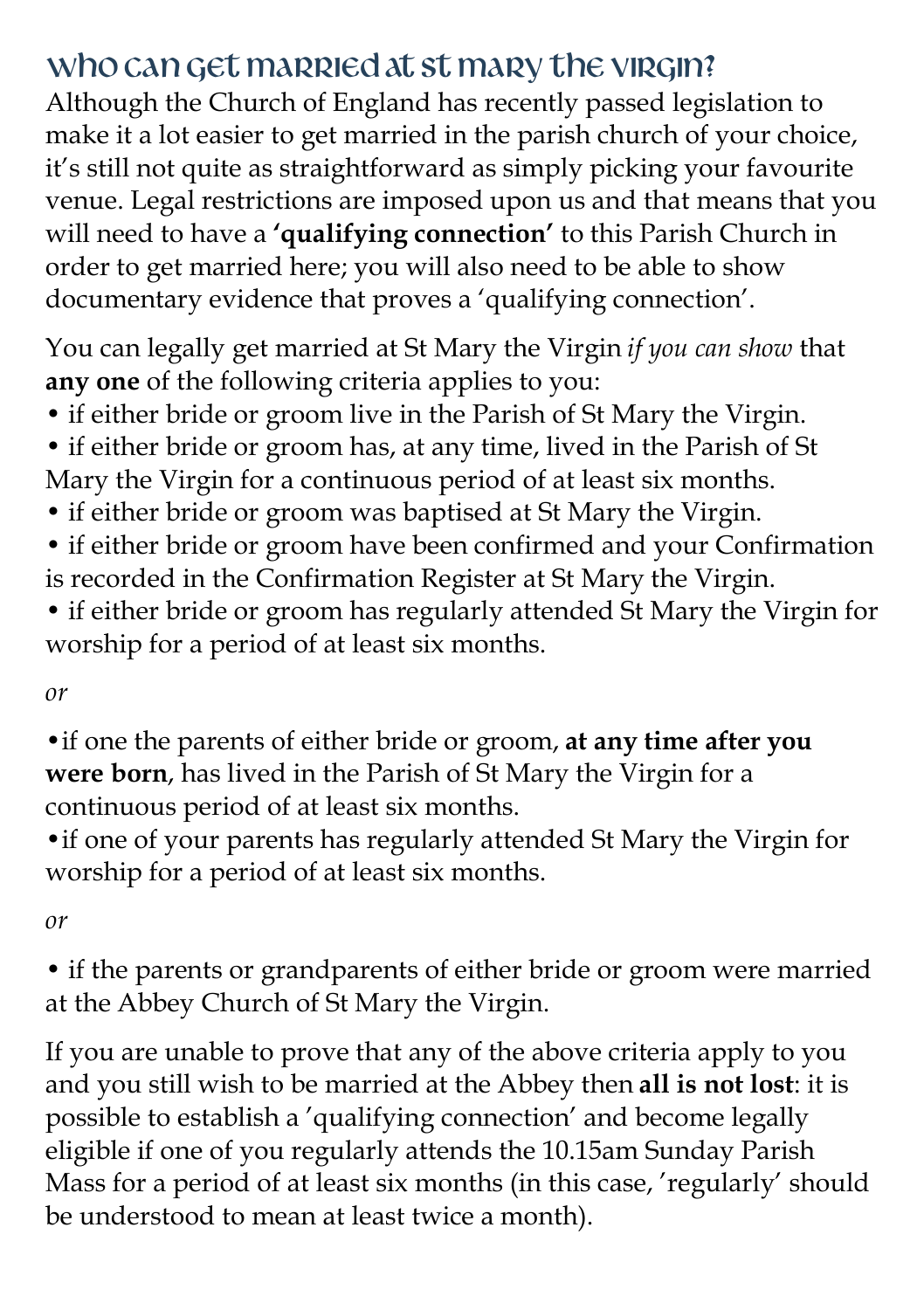## Who can get married at St Mary the Virgin?

Although the Church of England has recently passed legislation to make it a lot easier to get married in the parish church of your choice, it's still not quite as straightforward as simply picking your favourite venue. Legal restrictions are imposed upon us and that means that you will need to have a **'qualifying connection'** to this Parish Church in order to get married here; you will also need to be able to show documentary evidence that proves a 'qualifying connection'.

You can legally get married at St Mary the Virgin *if you can show* that **any one** of the following criteria applies to you:

- if either bride or groom live in the Parish of St Mary the Virgin.
- if either bride or groom has, at any time, lived in the Parish of St Mary the Virgin for a continuous period of at least six months.
- if either bride or groom was baptised at St Mary the Virgin.
- if either bride or groom have been confirmed and your Confirmation is recorded in the Confirmation Register at St Mary the Virgin.
- if either bride or groom has regularly attended St Mary the Virgin for worship for a period of at least six months.

*or*

•if one the parents of either bride or groom, **at any time after you were born**, has lived in the Parish of St Mary the Virgin for a continuous period of at least six months.

•if one of your parents has regularly attended St Mary the Virgin for worship for a period of at least six months.

*or*

• if the parents or grandparents of either bride or groom were married at the Abbey Church of St Mary the Virgin.

If you are unable to prove that any of the above criteria apply to you and you still wish to be married at the Abbey then **all is not lost**: it is possible to establish a 'qualifying connection' and become legally eligible if one of you regularly attends the 10.15am Sunday Parish Mass for a period of at least six months (in this case, 'regularly' should be understood to mean at least twice a month).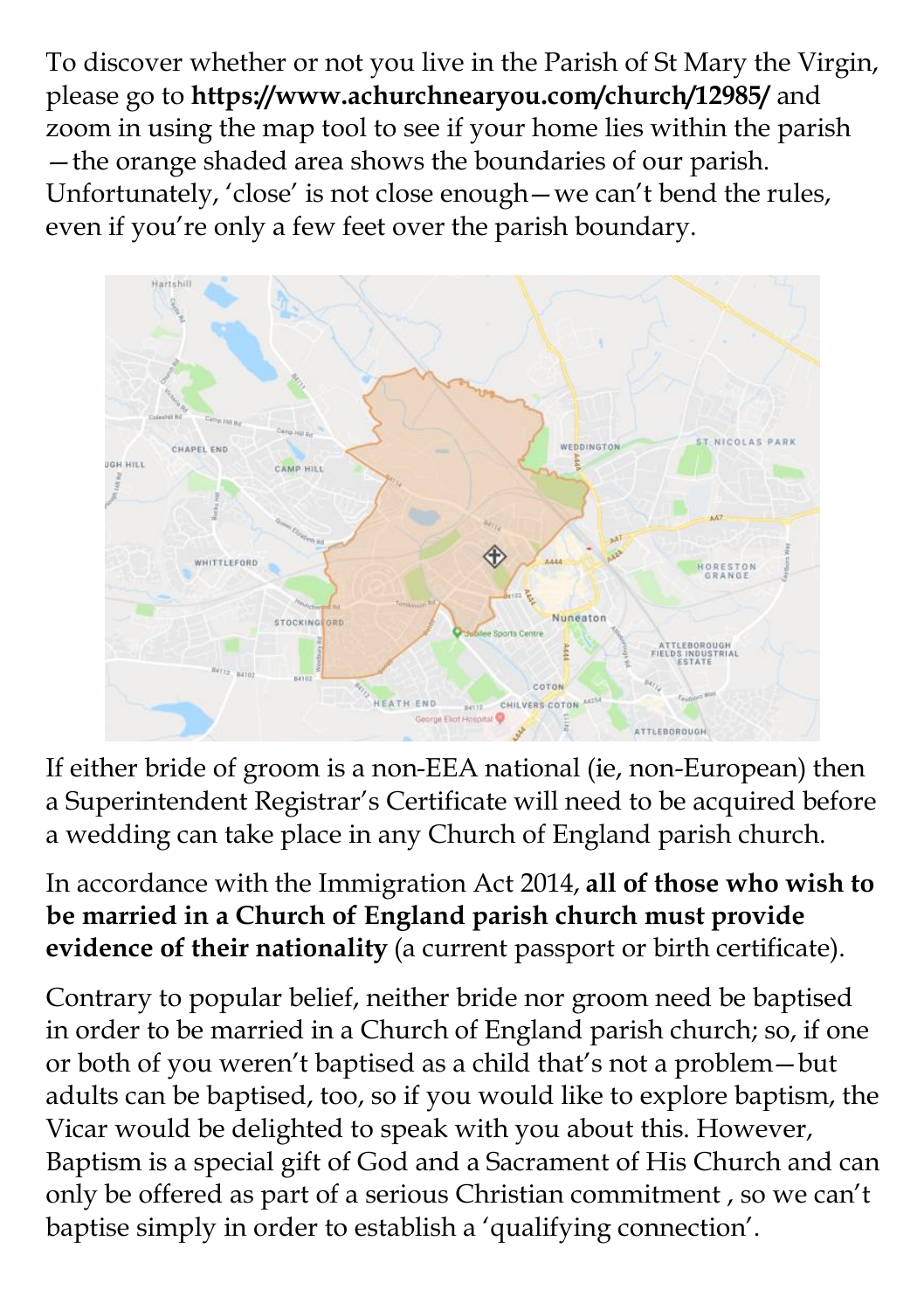To discover whether or not you live in the Parish of St Mary the Virgin, please go to **https://www.achurchnearyou.com/church/12985/** and zoom in using the map tool to see if your home lies within the parish —the orange shaded area shows the boundaries of our parish. Unfortunately, 'close' is not close enough—we can't bend the rules, even if you're only a few feet over the parish boundary.



If either bride of groom is a non-EEA national (ie, non-European) then a Superintendent Registrar's Certificate will need to be acquired before a wedding can take place in any Church of England parish church.

In accordance with the Immigration Act 2014, **all of those who wish to be married in a Church of England parish church must provide evidence of their nationality** (a current passport or birth certificate).

Contrary to popular belief, neither bride nor groom need be baptised in order to be married in a Church of England parish church; so, if one or both of you weren't baptised as a child that's not a problem—but adults can be baptised, too, so if you would like to explore baptism, the Vicar would be delighted to speak with you about this. However, Baptism is a special gift of God and a Sacrament of His Church and can only be offered as part of a serious Christian commitment , so we can't baptise simply in order to establish a 'qualifying connection'.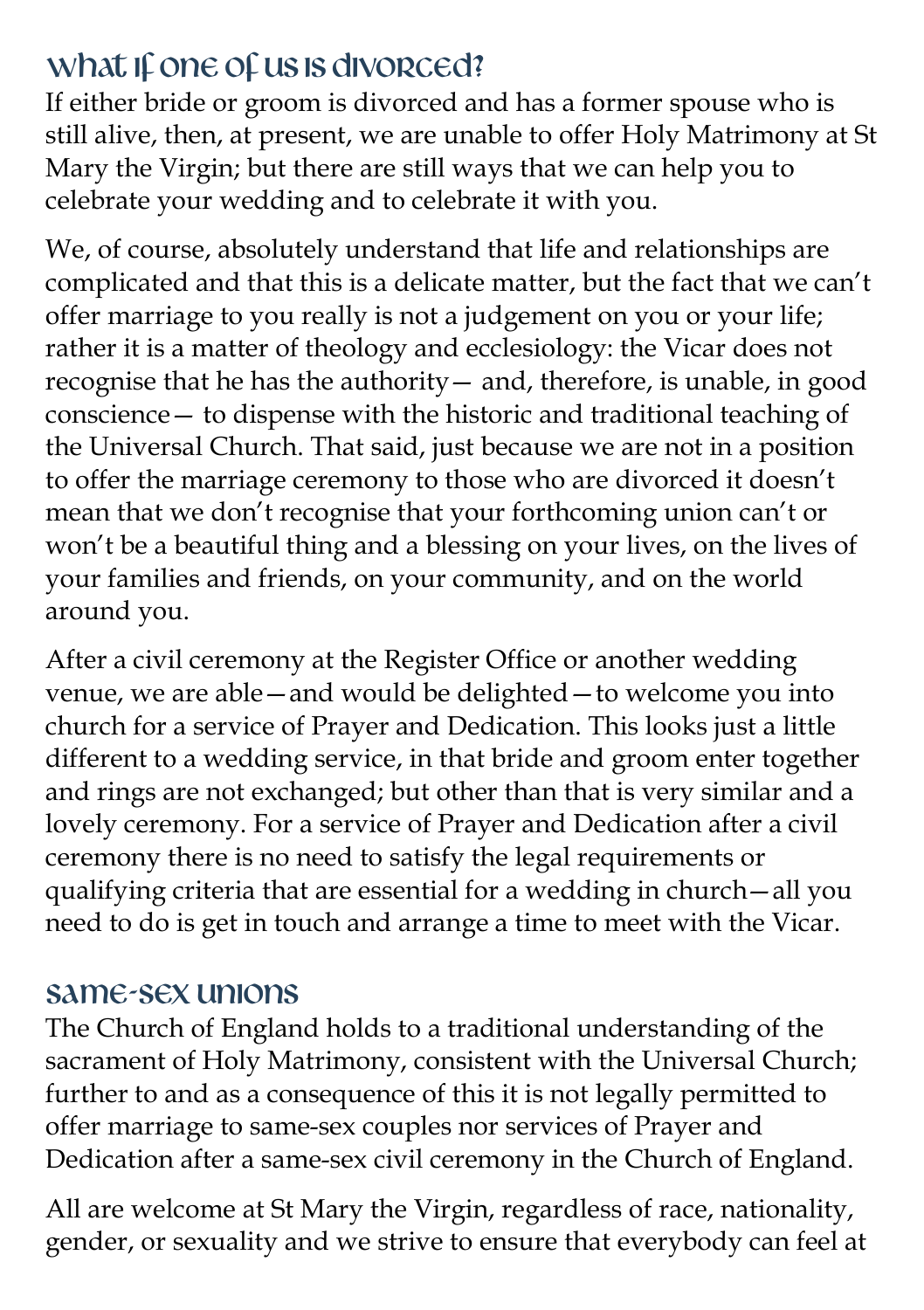## What if one of us is divorced?

If either bride or groom is divorced and has a former spouse who is still alive, then, at present, we are unable to offer Holy Matrimony at St Mary the Virgin; but there are still ways that we can help you to celebrate your wedding and to celebrate it with you.

We, of course, absolutely understand that life and relationships are complicated and that this is a delicate matter, but the fact that we can't offer marriage to you really is not a judgement on you or your life; rather it is a matter of theology and ecclesiology: the Vicar does not recognise that he has the authority— and, therefore, is unable, in good conscience— to dispense with the historic and traditional teaching of the Universal Church. That said, just because we are not in a position to offer the marriage ceremony to those who are divorced it doesn't mean that we don't recognise that your forthcoming union can't or won't be a beautiful thing and a blessing on your lives, on the lives of your families and friends, on your community, and on the world around you.

After a civil ceremony at the Register Office or another wedding venue, we are able—and would be delighted—to welcome you into church for a service of Prayer and Dedication. This looks just a little different to a wedding service, in that bride and groom enter together and rings are not exchanged; but other than that is very similar and a lovely ceremony. For a service of Prayer and Dedication after a civil ceremony there is no need to satisfy the legal requirements or qualifying criteria that are essential for a wedding in church—all you need to do is get in touch and arrange a time to meet with the Vicar.

#### Same-sex unions

The Church of England holds to a traditional understanding of the sacrament of Holy Matrimony, consistent with the Universal Church; further to and as a consequence of this it is not legally permitted to offer marriage to same-sex couples nor services of Prayer and Dedication after a same-sex civil ceremony in the Church of England.

All are welcome at St Mary the Virgin, regardless of race, nationality, gender, or sexuality and we strive to ensure that everybody can feel at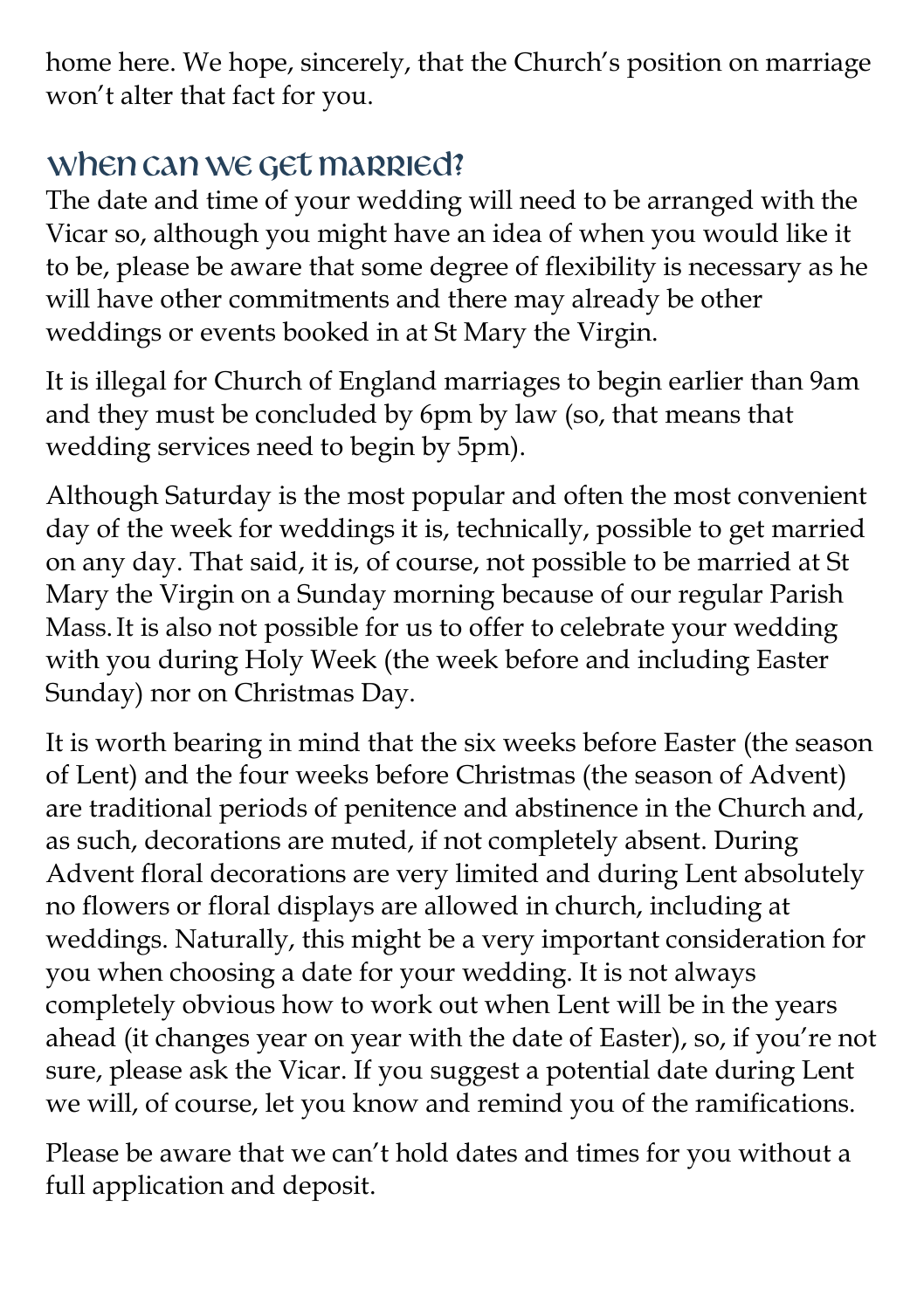home here. We hope, sincerely, that the Church's position on marriage won't alter that fact for you.

# When can we get married?

The date and time of your wedding will need to be arranged with the Vicar so, although you might have an idea of when you would like it to be, please be aware that some degree of flexibility is necessary as he will have other commitments and there may already be other weddings or events booked in at St Mary the Virgin.

It is illegal for Church of England marriages to begin earlier than 9am and they must be concluded by 6pm by law (so, that means that wedding services need to begin by 5pm).

Although Saturday is the most popular and often the most convenient day of the week for weddings it is, technically, possible to get married on any day. That said, it is, of course, not possible to be married at St Mary the Virgin on a Sunday morning because of our regular Parish Mass.It is also not possible for us to offer to celebrate your wedding with you during Holy Week (the week before and including Easter Sunday) nor on Christmas Day.

It is worth bearing in mind that the six weeks before Easter (the season of Lent) and the four weeks before Christmas (the season of Advent) are traditional periods of penitence and abstinence in the Church and, as such, decorations are muted, if not completely absent. During Advent floral decorations are very limited and during Lent absolutely no flowers or floral displays are allowed in church, including at weddings. Naturally, this might be a very important consideration for you when choosing a date for your wedding. It is not always completely obvious how to work out when Lent will be in the years ahead (it changes year on year with the date of Easter), so, if you're not sure, please ask the Vicar. If you suggest a potential date during Lent we will, of course, let you know and remind you of the ramifications.

Please be aware that we can't hold dates and times for you without a full application and deposit.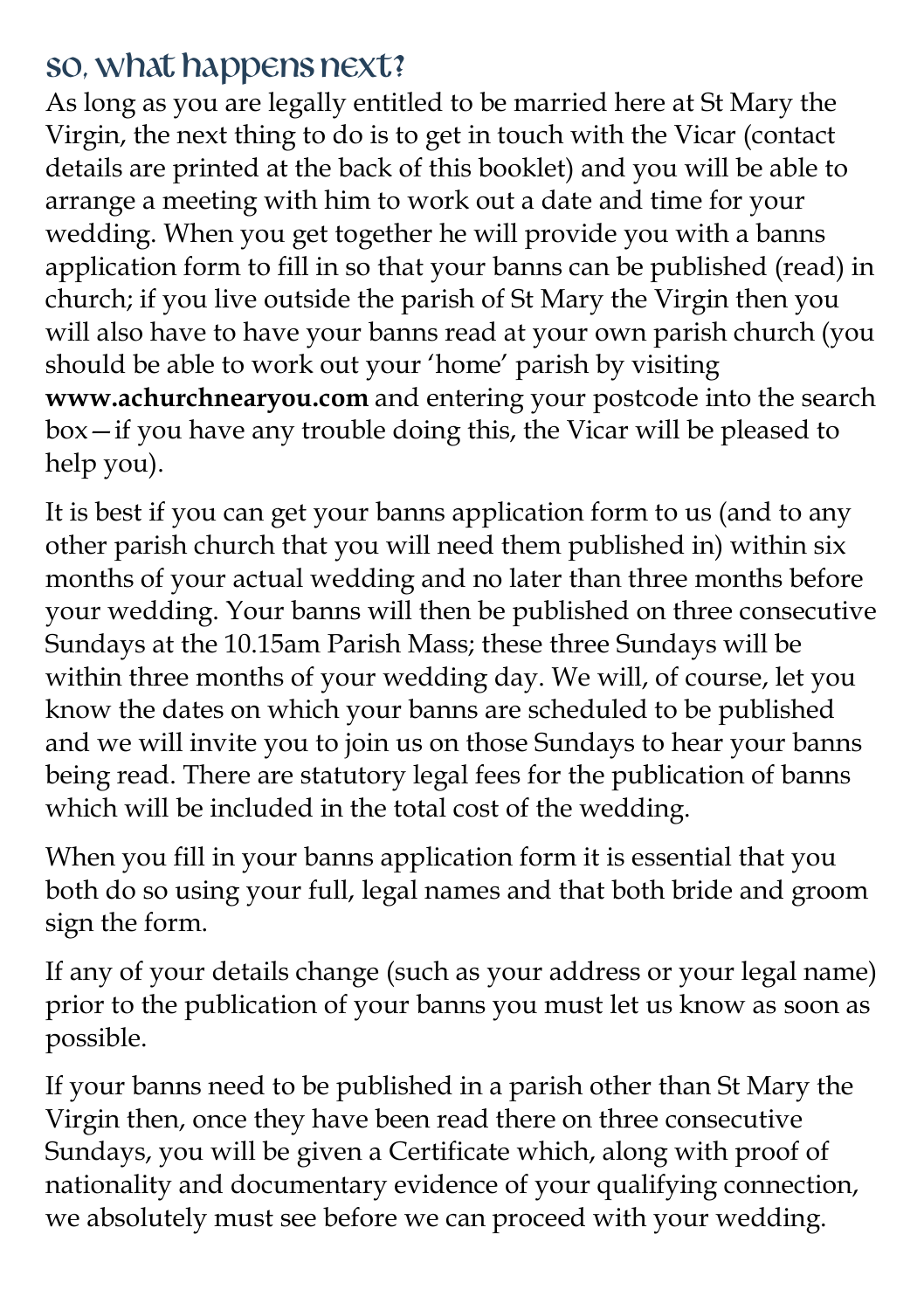## So, what happens next?

As long as you are legally entitled to be married here at St Mary the Virgin, the next thing to do is to get in touch with the Vicar (contact details are printed at the back of this booklet) and you will be able to arrange a meeting with him to work out a date and time for your wedding. When you get together he will provide you with a banns application form to fill in so that your banns can be published (read) in church; if you live outside the parish of St Mary the Virgin then you will also have to have your banns read at your own parish church (you should be able to work out your 'home' parish by visiting **www.achurchnearyou.com** and entering your postcode into the search box—if you have any trouble doing this, the Vicar will be pleased to help you).

It is best if you can get your banns application form to us (and to any other parish church that you will need them published in) within six months of your actual wedding and no later than three months before your wedding. Your banns will then be published on three consecutive Sundays at the 10.15am Parish Mass; these three Sundays will be within three months of your wedding day. We will, of course, let you know the dates on which your banns are scheduled to be published and we will invite you to join us on those Sundays to hear your banns being read. There are statutory legal fees for the publication of banns which will be included in the total cost of the wedding.

When you fill in your banns application form it is essential that you both do so using your full, legal names and that both bride and groom sign the form.

If any of your details change (such as your address or your legal name) prior to the publication of your banns you must let us know as soon as possible.

If your banns need to be published in a parish other than St Mary the Virgin then, once they have been read there on three consecutive Sundays, you will be given a Certificate which, along with proof of nationality and documentary evidence of your qualifying connection, we absolutely must see before we can proceed with your wedding.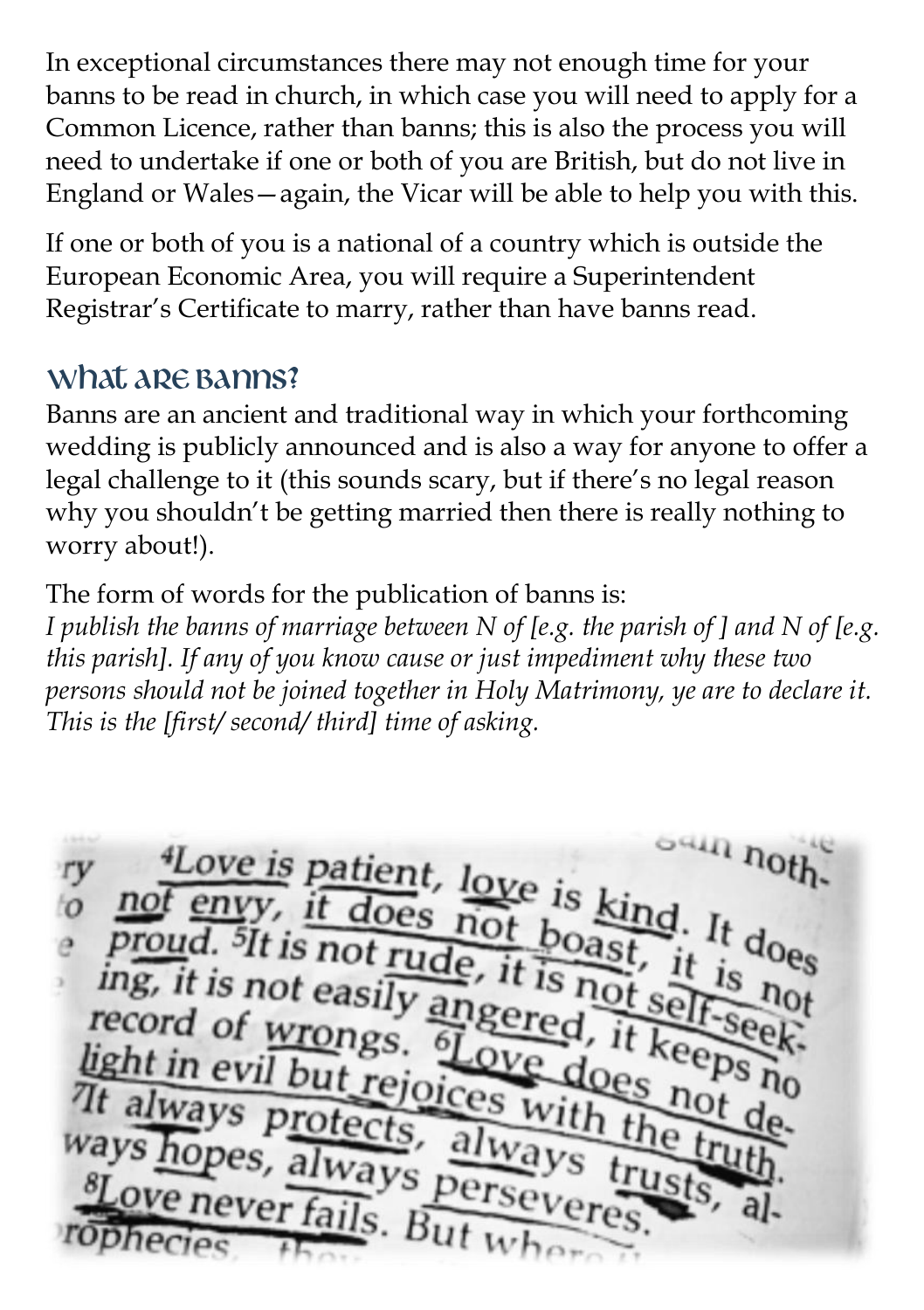In exceptional circumstances there may not enough time for your banns to be read in church, in which case you will need to apply for a Common Licence, rather than banns; this is also the process you will need to undertake if one or both of you are British, but do not live in England or Wales—again, the Vicar will be able to help you with this.

If one or both of you is a national of a country which is outside the European Economic Area, you will require a Superintendent Registrar's Certificate to marry, rather than have banns read.

## What are banns?

Banns are an ancient and traditional way in which your forthcoming wedding is publicly announced and is also a way for anyone to offer a legal challenge to it (this sounds scary, but if there's no legal reason why you shouldn't be getting married then there is really nothing to worry about!).

The form of words for the publication of banns is:

*I publish the banns of marriage between N of [e.g. the parish of ] and N of [e.g. this parish]. If any of you know cause or just impediment why these two persons should not be joined together in Holy Matrimony, ye are to declare it. This is the [first/ second/ third] time of asking.*

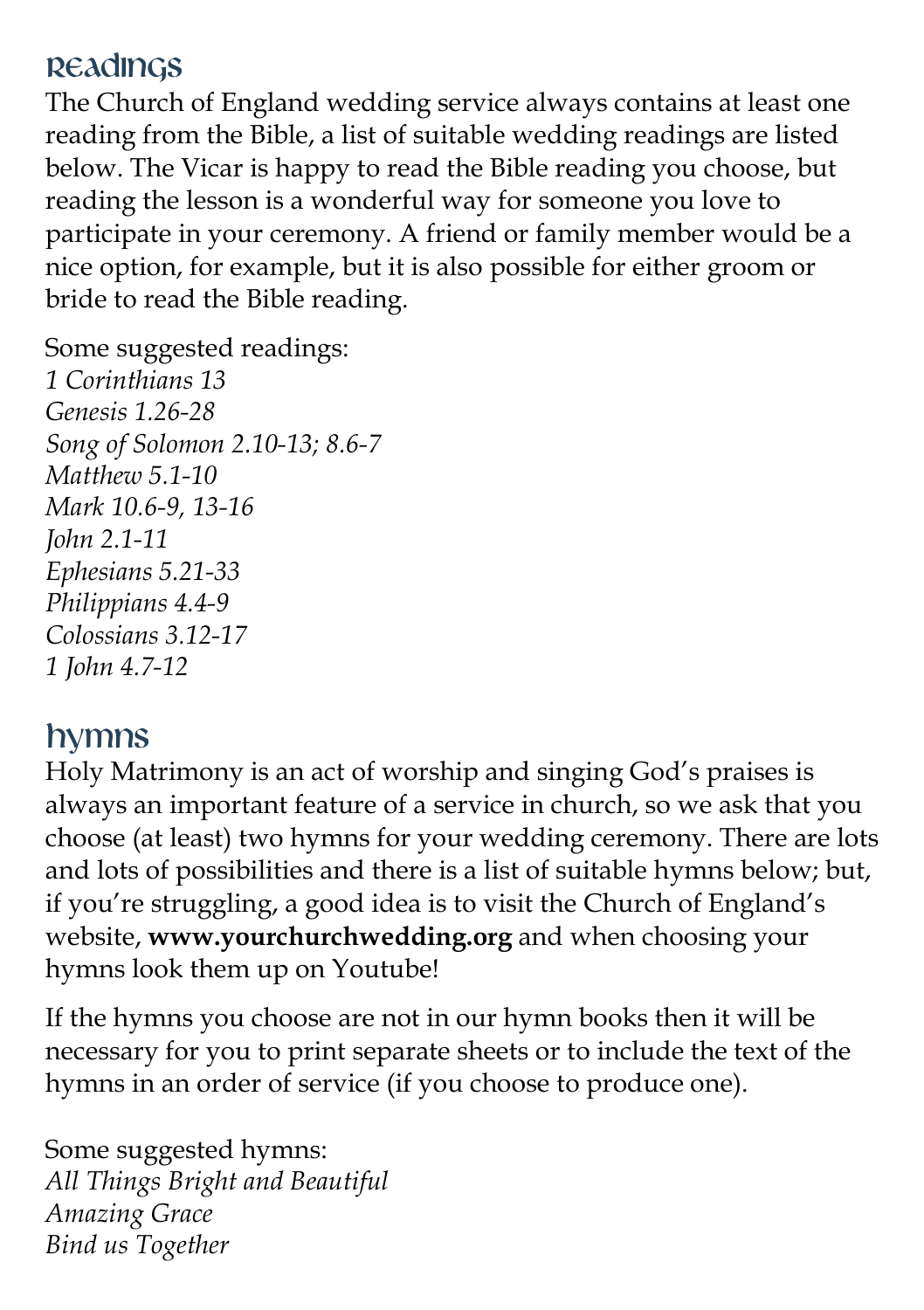#### Readings

The Church of England wedding service always contains at least one reading from the Bible, a list of suitable wedding readings are listed below. The Vicar is happy to read the Bible reading you choose, but reading the lesson is a wonderful way for someone you love to participate in your ceremony. A friend or family member would be a nice option, for example, but it is also possible for either groom or bride to read the Bible reading.

Some suggested readings: *1 Corinthians 13 Genesis 1.26-28 Song of Solomon 2.10-13; 8.6-7 Matthew 5.1-10 Mark 10.6-9, 13-16 John 2.1-11 Ephesians 5.21-33 Philippians 4.4-9 Colossians 3.12-17 1 John 4.7-12*

## Hymns

Holy Matrimony is an act of worship and singing God's praises is always an important feature of a service in church, so we ask that you choose (at least) two hymns for your wedding ceremony. There are lots and lots of possibilities and there is a list of suitable hymns below; but, if you're struggling, a good idea is to visit the Church of England's website, **www.yourchurchwedding.org** and when choosing your hymns look them up on Youtube!

If the hymns you choose are not in our hymn books then it will be necessary for you to print separate sheets or to include the text of the hymns in an order of service (if you choose to produce one).

Some suggested hymns: *All Things Bright and Beautiful Amazing Grace Bind us Together*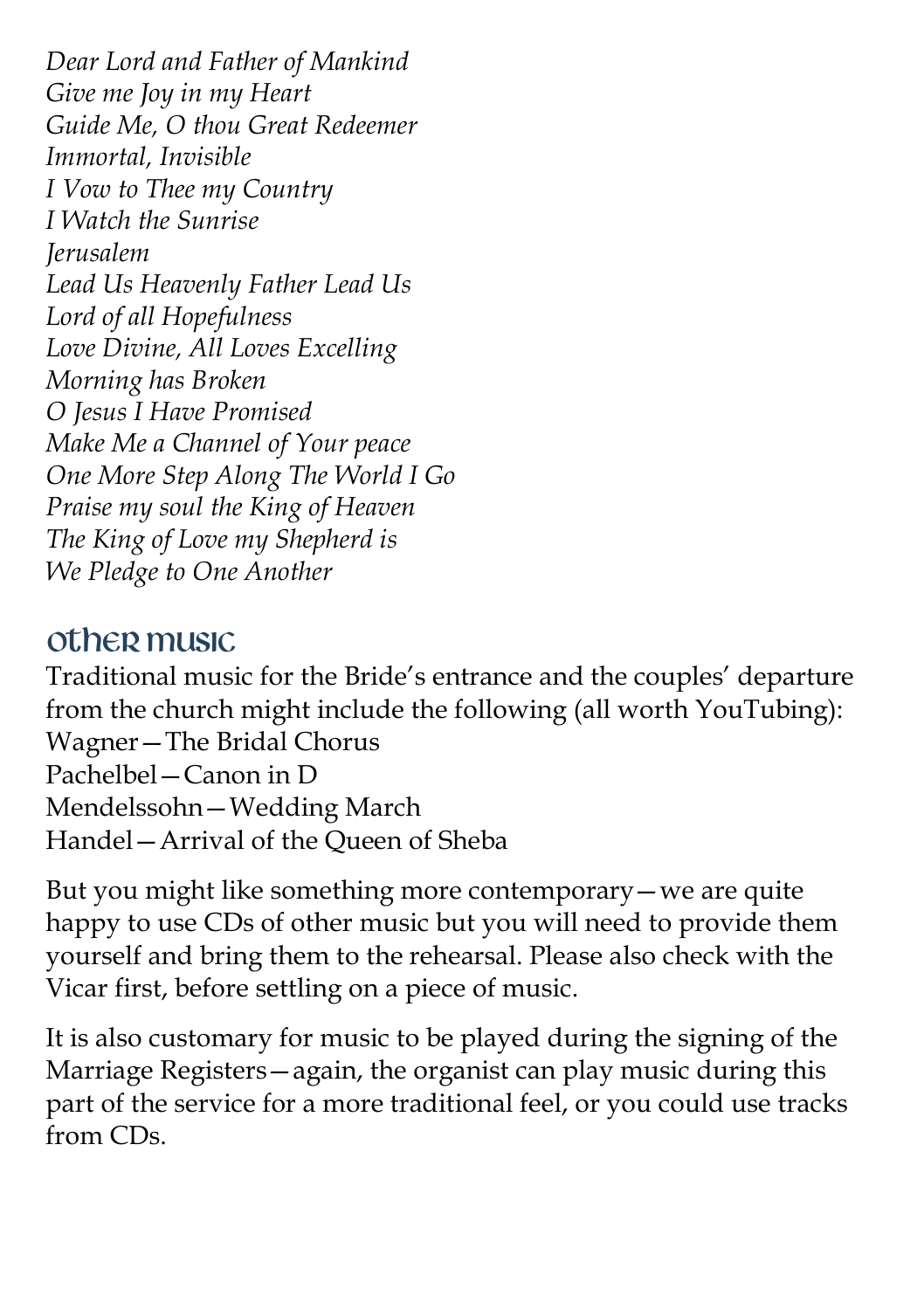*Dear Lord and Father of Mankind Give me Joy in my Heart Guide Me, O thou Great Redeemer Immortal, Invisible I Vow to Thee my Country I Watch the Sunrise Jerusalem Lead Us Heavenly Father Lead Us Lord of all Hopefulness Love Divine, All Loves Excelling Morning has Broken O Jesus I Have Promised Make Me a Channel of Your peace One More Step Along The World I Go Praise my soul the King of Heaven The King of Love my Shepherd is We Pledge to One Another* 

#### Other music

Traditional music for the Bride's entrance and the couples' departure from the church might include the following (all worth YouTubing): Wagner—The Bridal Chorus Pachelbel—Canon in D Mendelssohn—Wedding March Handel—Arrival of the Queen of Sheba

But you might like something more contemporary—we are quite happy to use CDs of other music but you will need to provide them yourself and bring them to the rehearsal. Please also check with the Vicar first, before settling on a piece of music.

It is also customary for music to be played during the signing of the Marriage Registers—again, the organist can play music during this part of the service for a more traditional feel, or you could use tracks from CDs.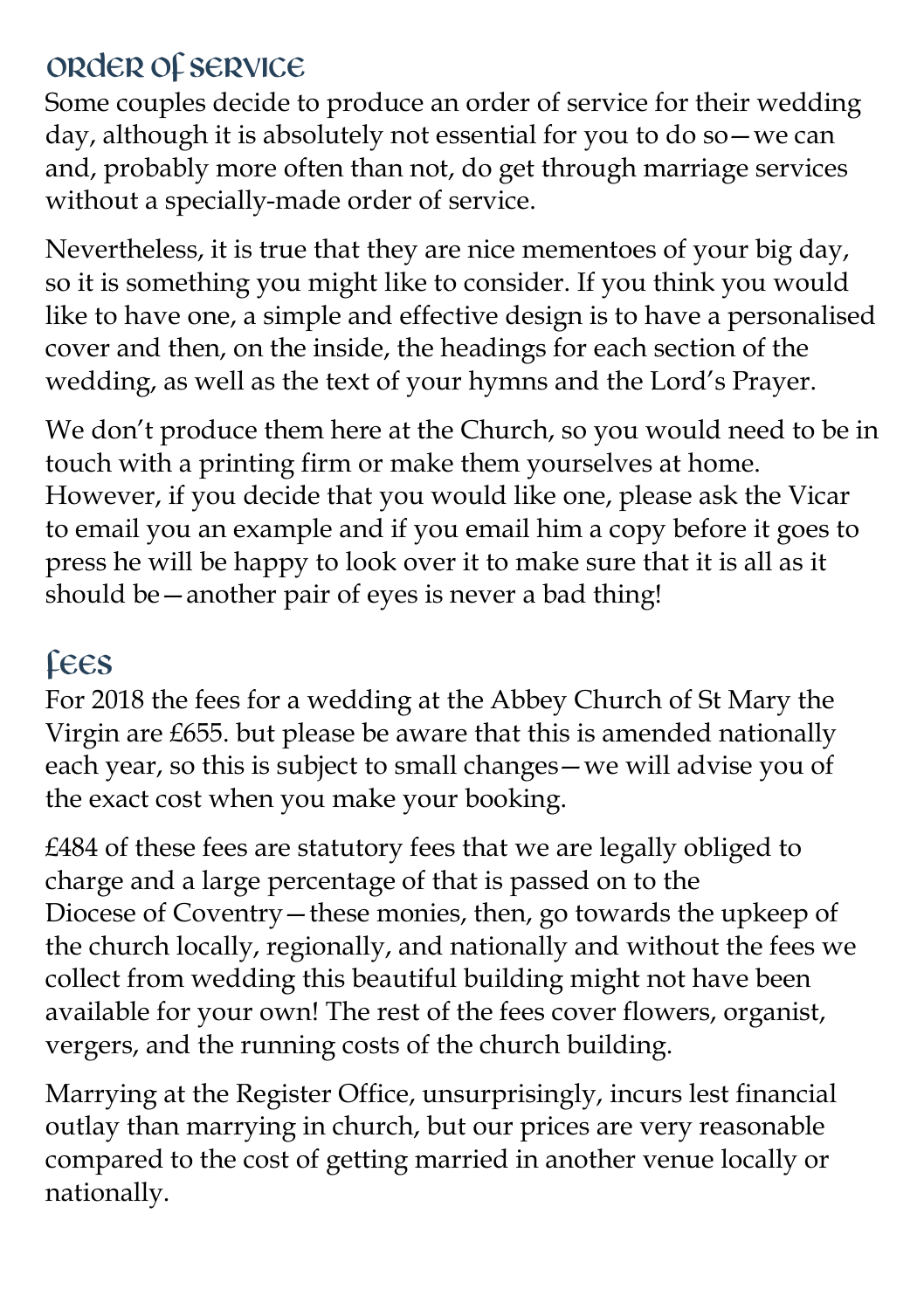# Order of service

Some couples decide to produce an order of service for their wedding day, although it is absolutely not essential for you to do so—we can and, probably more often than not, do get through marriage services without a specially-made order of service.

Nevertheless, it is true that they are nice mementoes of your big day, so it is something you might like to consider. If you think you would like to have one, a simple and effective design is to have a personalised cover and then, on the inside, the headings for each section of the wedding, as well as the text of your hymns and the Lord's Prayer.

We don't produce them here at the Church, so you would need to be in touch with a printing firm or make them yourselves at home. However, if you decide that you would like one, please ask the Vicar to email you an example and if you email him a copy before it goes to press he will be happy to look over it to make sure that it is all as it should be—another pair of eyes is never a bad thing!

# Fees

For 2018 the fees for a wedding at the Abbey Church of St Mary the Virgin are £655. but please be aware that this is amended nationally each year, so this is subject to small changes—we will advise you of the exact cost when you make your booking.

£484 of these fees are statutory fees that we are legally obliged to charge and a large percentage of that is passed on to the Diocese of Coventry—these monies, then, go towards the upkeep of the church locally, regionally, and nationally and without the fees we collect from wedding this beautiful building might not have been available for your own! The rest of the fees cover flowers, organist, vergers, and the running costs of the church building.

Marrying at the Register Office, unsurprisingly, incurs lest financial outlay than marrying in church, but our prices are very reasonable compared to the cost of getting married in another venue locally or nationally.